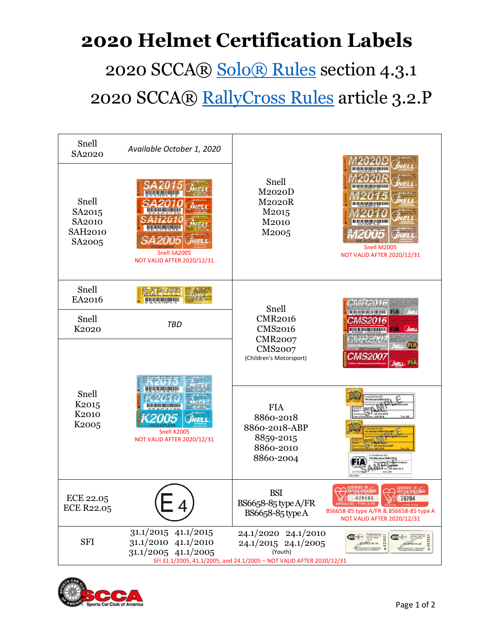## **2020 Helmet Certification Labels** 2020 SCCA® [Solo® Rules](https://www.scca.com/pages/solo-cars-and-rules) section 4.3.1 2020 SCCA® [RallyCross Rules](https://www.scca.com/pages/rallycross-cars-and-rules) article 3.2.P